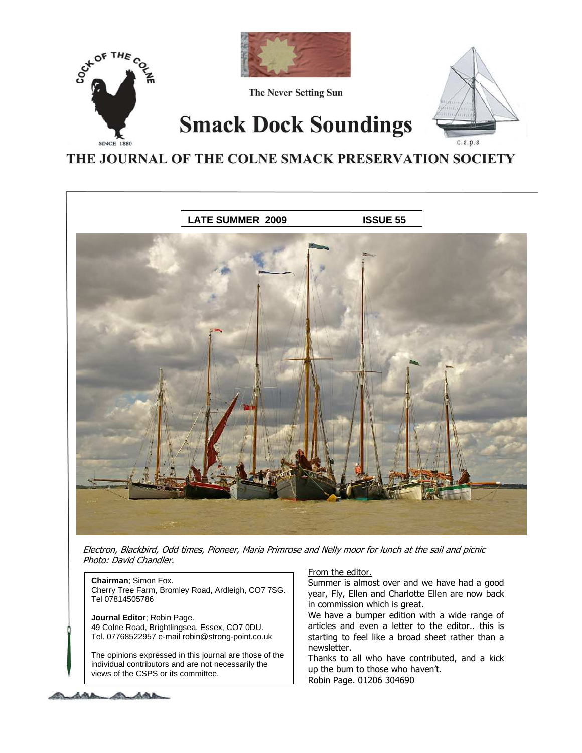

THE JOURNAL OF THE COLNE SMACK PRESERVATION SOCIETY



Electron, Blackbird, Odd times, Pioneer, Maria Primrose and Nelly moor for lunch at the sail and picnic Photo: David Chandler.

**Chairman**; Simon Fox. Cherry Tree Farm, Bromley Road, Ardleigh, CO7 7SG. Tel 07814505786

**Journal Editor**; Robin Page. 49 Colne Road, Brightlingsea, Essex, CO7 0DU. Tel. 07768522957 e-mail robin@strong-point.co.uk

The opinions expressed in this journal are those of the individual contributors and are not necessarily the views of the CSPS or its committee.

## From the editor.

Summer is almost over and we have had a good year, Fly, Ellen and Charlotte Ellen are now back in commission which is great.

We have a bumper edition with a wide range of articles and even a letter to the editor.. this is starting to feel like a broad sheet rather than a newsletter.

Thanks to all who have contributed, and a kick up the bum to those who haven't. Robin Page. 01206 304690

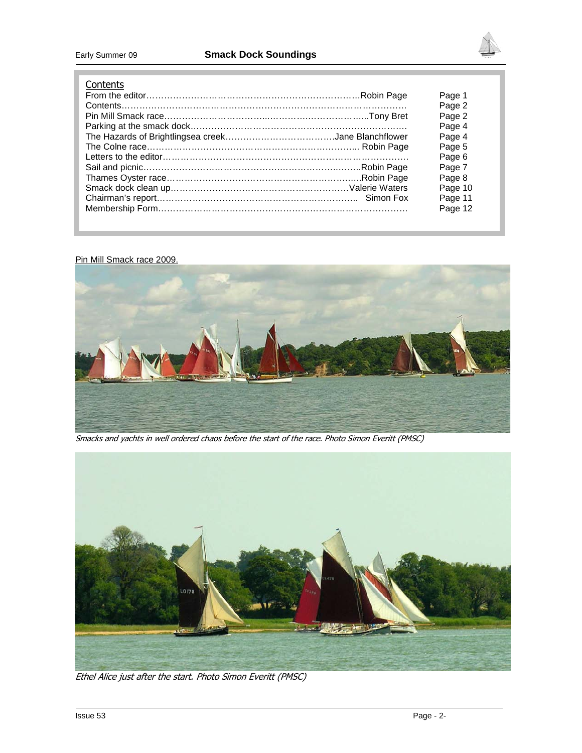

## **Contents**

| ------- |         |
|---------|---------|
|         | Page 1  |
|         | Page 2  |
|         | Page 2  |
|         | Page 4  |
|         | Page 4  |
|         | Page 5  |
|         | Page 6  |
|         | Page 7  |
|         | Page 8  |
|         | Page 10 |
|         | Page 11 |
|         | Page 12 |
|         |         |

## Pin Mill Smack race 2009.



Smacks and yachts in well ordered chaos before the start of the race. Photo Simon Everitt (PMSC)



Ethel Alice just after the start. Photo Simon Everitt (PMSC)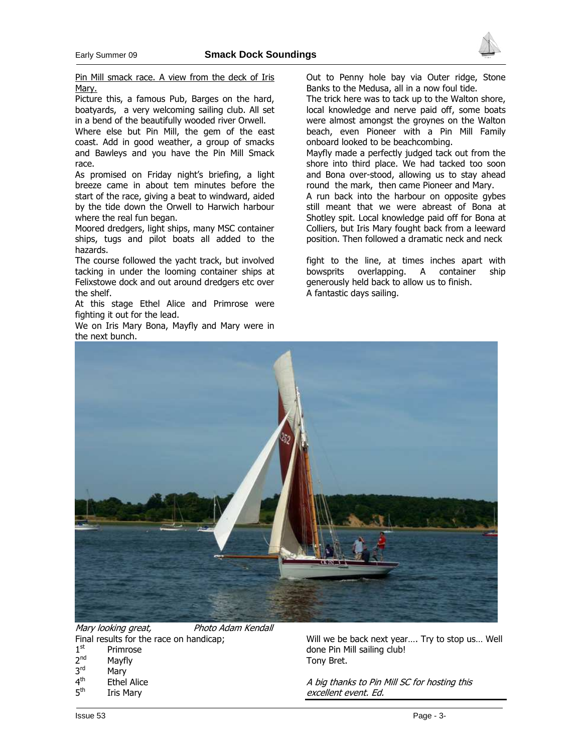

Picture this, a famous Pub, Barges on the hard, boatyards, a very welcoming sailing club. All set in a bend of the beautifully wooded river Orwell.

Where else but Pin Mill, the gem of the east coast. Add in good weather, a group of smacks and Bawleys and you have the Pin Mill Smack race.

As promised on Friday night's briefing, a light breeze came in about tem minutes before the start of the race, giving a beat to windward, aided by the tide down the Orwell to Harwich harbour where the real fun began.

Moored dredgers, light ships, many MSC container ships, tugs and pilot boats all added to the hazards.

The course followed the yacht track, but involved tacking in under the looming container ships at Felixstowe dock and out around dredgers etc over the shelf.

At this stage Ethel Alice and Primrose were fighting it out for the lead.

We on Iris Mary Bona, Mayfly and Mary were in the next bunch.

Out to Penny hole bay via Outer ridge, Stone Banks to the Medusa, all in a now foul tide.

The trick here was to tack up to the Walton shore, local knowledge and nerve paid off, some boats were almost amongst the groynes on the Walton beach, even Pioneer with a Pin Mill Family onboard looked to be beachcombing.

Mayfly made a perfectly judged tack out from the shore into third place. We had tacked too soon and Bona over-stood, allowing us to stay ahead round the mark, then came Pioneer and Mary.

A run back into the harbour on opposite gybes still meant that we were abreast of Bona at Shotley spit. Local knowledge paid off for Bona at Colliers, but Iris Mary fought back from a leeward position. Then followed a dramatic neck and neck

fight to the line, at times inches apart with bowsprits overlapping. A container ship generously held back to allow us to finish. A fantastic days sailing.



Mary looking great, Photo Adam Kendall Final results for the race on handicap;  $1<sup>st</sup>$ Primrose  $2<sup>nd</sup>$ Mayfly

- $3<sup>rd</sup>$ Mary
- $4<sup>th</sup>$
- **Ethel Alice**  $5<sup>th</sup>$
- **Iris Mary**

Will we be back next year…. Try to stop us… Well done Pin Mill sailing club! Tony Bret.

A big thanks to Pin Mill SC for hosting this excellent event. Ed.

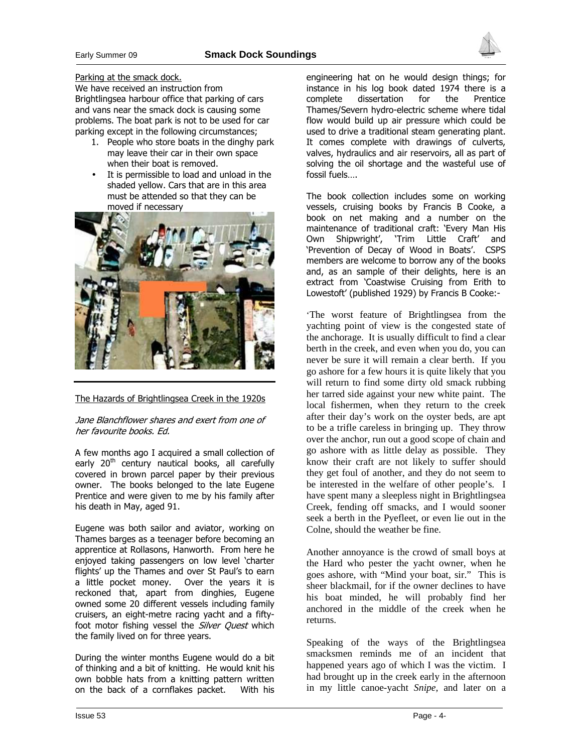

#### Parking at the smack dock.

We have received an instruction from Brightlingsea harbour office that parking of cars and vans near the smack dock is causing some problems. The boat park is not to be used for car parking except in the following circumstances;

- 1. People who store boats in the dinghy park may leave their car in their own space when their boat is removed.
- It is permissible to load and unload in the shaded yellow. Cars that are in this area must be attended so that they can be moved if necessary



## The Hazards of Brightlingsea Creek in the 1920s

## Jane Blanchflower shares and exert from one of her favourite books. Ed.

A few months ago I acquired a small collection of early 20<sup>th</sup> century nautical books, all carefully covered in brown parcel paper by their previous owner. The books belonged to the late Eugene Prentice and were given to me by his family after his death in May, aged 91.

Eugene was both sailor and aviator, working on Thames barges as a teenager before becoming an apprentice at Rollasons, Hanworth. From here he enjoyed taking passengers on low level 'charter flights' up the Thames and over St Paul's to earn a little pocket money. Over the years it is reckoned that, apart from dinghies, Eugene owned some 20 different vessels including family cruisers, an eight-metre racing yacht and a fiftyfoot motor fishing vessel the *Silver Quest* which the family lived on for three years.

During the winter months Eugene would do a bit of thinking and a bit of knitting. He would knit his own bobble hats from a knitting pattern written on the back of a cornflakes packet. With his

engineering hat on he would design things; for instance in his log book dated 1974 there is a complete dissertation for the Prentice Thames/Severn hydro-electric scheme where tidal flow would build up air pressure which could be used to drive a traditional steam generating plant. It comes complete with drawings of culverts, valves, hydraulics and air reservoirs, all as part of solving the oil shortage and the wasteful use of fossil fuels….

The book collection includes some on working vessels, cruising books by Francis B Cooke, a book on net making and a number on the maintenance of traditional craft: 'Every Man His Own Shipwright', 'Trim Little Craft' and 'Prevention of Decay of Wood in Boats'. CSPS members are welcome to borrow any of the books and, as an sample of their delights, here is an extract from 'Coastwise Cruising from Erith to Lowestoft' (published 1929) by Francis B Cooke:-

'The worst feature of Brightlingsea from the yachting point of view is the congested state of the anchorage. It is usually difficult to find a clear berth in the creek, and even when you do, you can never be sure it will remain a clear berth. If you go ashore for a few hours it is quite likely that you will return to find some dirty old smack rubbing her tarred side against your new white paint. The local fishermen, when they return to the creek after their day's work on the oyster beds, are apt to be a trifle careless in bringing up. They throw over the anchor, run out a good scope of chain and go ashore with as little delay as possible. They know their craft are not likely to suffer should they get foul of another, and they do not seem to be interested in the welfare of other people's. I have spent many a sleepless night in Brightlingsea Creek, fending off smacks, and I would sooner seek a berth in the Pyefleet, or even lie out in the Colne, should the weather be fine.

Another annoyance is the crowd of small boys at the Hard who pester the yacht owner, when he goes ashore, with "Mind your boat, sir." This is sheer blackmail, for if the owner declines to have his boat minded, he will probably find her anchored in the middle of the creek when he returns.

Speaking of the ways of the Brightlingsea smacksmen reminds me of an incident that happened years ago of which I was the victim. I had brought up in the creek early in the afternoon in my little canoe-yacht *Snipe,* and later on a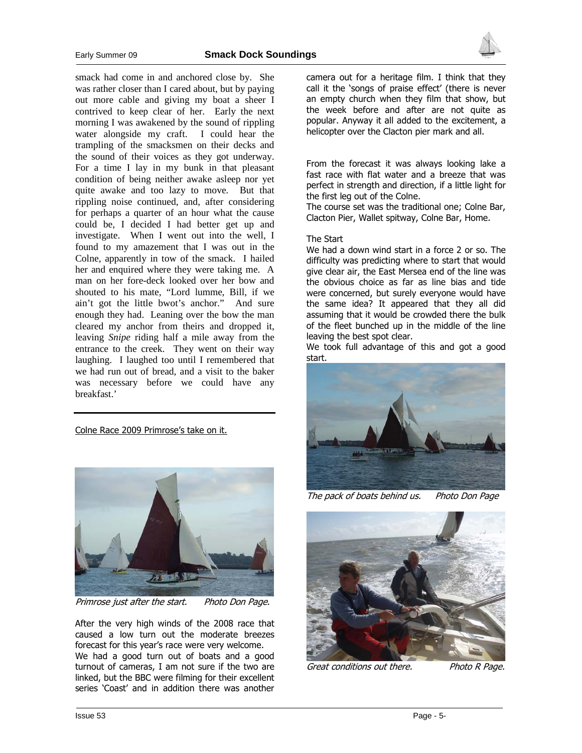

smack had come in and anchored close by. She was rather closer than I cared about, but by paying out more cable and giving my boat a sheer I contrived to keep clear of her. Early the next morning I was awakened by the sound of rippling water alongside my craft. I could hear the trampling of the smacksmen on their decks and the sound of their voices as they got underway. For a time I lay in my bunk in that pleasant condition of being neither awake asleep nor yet quite awake and too lazy to move. But that rippling noise continued, and, after considering for perhaps a quarter of an hour what the cause could be, I decided I had better get up and investigate. When I went out into the well, I found to my amazement that I was out in the Colne, apparently in tow of the smack. I hailed her and enquired where they were taking me. A man on her fore-deck looked over her bow and shouted to his mate, "Lord lumme, Bill, if we ain't got the little bwot's anchor." And sure enough they had. Leaning over the bow the man cleared my anchor from theirs and dropped it, leaving *Snipe* riding half a mile away from the entrance to the creek. They went on their way laughing. I laughed too until I remembered that we had run out of bread, and a visit to the baker was necessary before we could have any breakfast.'

Colne Race 2009 Primrose's take on it.



Primrose just after the start. Photo Don Page.

After the very high winds of the 2008 race that caused a low turn out the moderate breezes forecast for this year's race were very welcome.

We had a good turn out of boats and a good turnout of cameras, I am not sure if the two are linked, but the BBC were filming for their excellent series 'Coast' and in addition there was another

camera out for a heritage film. I think that they call it the 'songs of praise effect' (there is never an empty church when they film that show, but the week before and after are not quite as popular. Anyway it all added to the excitement, a helicopter over the Clacton pier mark and all.

From the forecast it was always looking lake a fast race with flat water and a breeze that was perfect in strength and direction, if a little light for the first leg out of the Colne.

The course set was the traditional one; Colne Bar, Clacton Pier, Wallet spitway, Colne Bar, Home.

#### The Start

We had a down wind start in a force 2 or so. The difficulty was predicting where to start that would give clear air, the East Mersea end of the line was the obvious choice as far as line bias and tide were concerned, but surely everyone would have the same idea? It appeared that they all did assuming that it would be crowded there the bulk of the fleet bunched up in the middle of the line leaving the best spot clear.

We took full advantage of this and got a good start.



The pack of boats behind us. Photo Don Page



Great conditions out there. Photo R Page.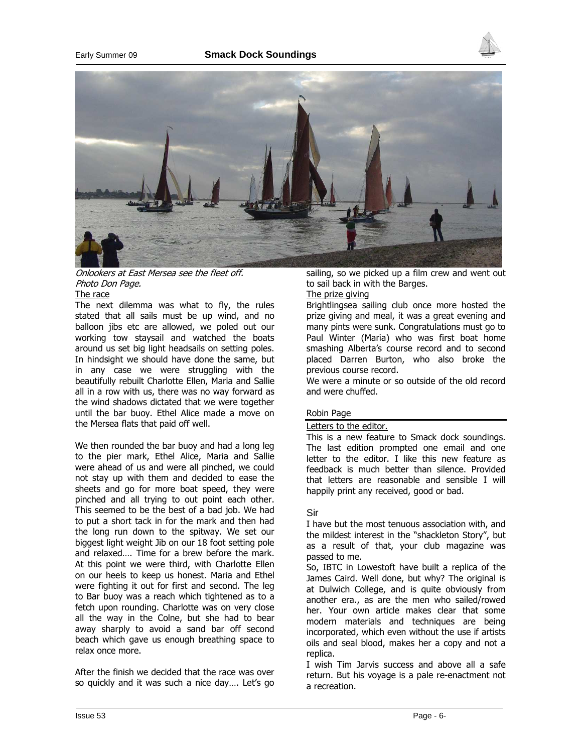

## Onlookers at East Mersea see the fleet off. Photo Don Page.

### The race

The next dilemma was what to fly, the rules stated that all sails must be up wind, and no balloon jibs etc are allowed, we poled out our working tow staysail and watched the boats around us set big light headsails on setting poles. In hindsight we should have done the same, but in any case we were struggling with the beautifully rebuilt Charlotte Ellen, Maria and Sallie all in a row with us, there was no way forward as the wind shadows dictated that we were together until the bar buoy. Ethel Alice made a move on the Mersea flats that paid off well.

We then rounded the bar buoy and had a long leg to the pier mark, Ethel Alice, Maria and Sallie were ahead of us and were all pinched, we could not stay up with them and decided to ease the sheets and go for more boat speed, they were pinched and all trying to out point each other. This seemed to be the best of a bad job. We had to put a short tack in for the mark and then had the long run down to the spitway. We set our biggest light weight Jib on our 18 foot setting pole and relaxed…. Time for a brew before the mark. At this point we were third, with Charlotte Ellen on our heels to keep us honest. Maria and Ethel were fighting it out for first and second. The leg to Bar buoy was a reach which tightened as to a fetch upon rounding. Charlotte was on very close all the way in the Colne, but she had to bear away sharply to avoid a sand bar off second beach which gave us enough breathing space to relax once more.

After the finish we decided that the race was over so quickly and it was such a nice day…. Let's go sailing, so we picked up a film crew and went out to sail back in with the Barges.

## The prize giving

Brightlingsea sailing club once more hosted the prize giving and meal, it was a great evening and many pints were sunk. Congratulations must go to Paul Winter (Maria) who was first boat home smashing Alberta's course record and to second placed Darren Burton, who also broke the previous course record.

We were a minute or so outside of the old record and were chuffed.

## Robin Page

## Letters to the editor.

This is a new feature to Smack dock soundings. The last edition prompted one email and one letter to the editor. I like this new feature as feedback is much better than silence. Provided that letters are reasonable and sensible I will happily print any received, good or bad.

## Sir

I have but the most tenuous association with, and the mildest interest in the "shackleton Story", but as a result of that, your club magazine was passed to me.

So, IBTC in Lowestoft have built a replica of the James Caird. Well done, but why? The original is at Dulwich College, and is quite obviously from another era., as are the men who sailed/rowed her. Your own article makes clear that some modern materials and techniques are being incorporated, which even without the use if artists oils and seal blood, makes her a copy and not a replica.

I wish Tim Jarvis success and above all a safe return. But his voyage is a pale re-enactment not a recreation.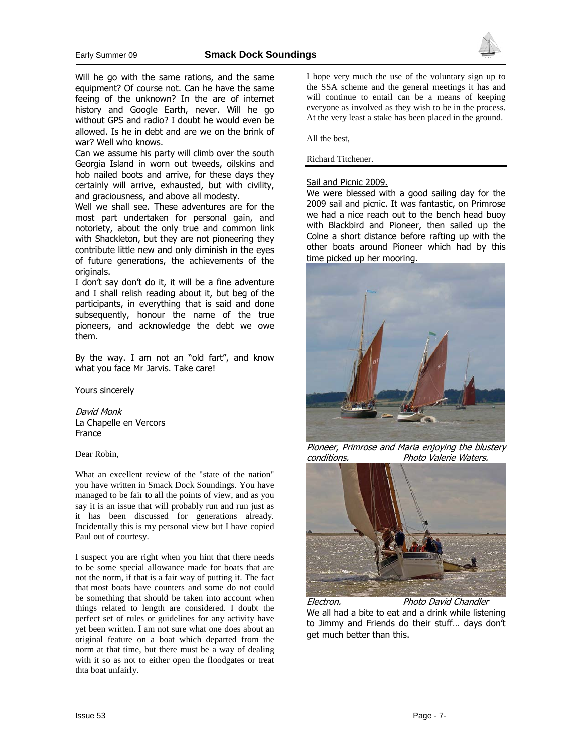

Will he go with the same rations, and the same equipment? Of course not. Can he have the same feeing of the unknown? In the are of internet history and Google Earth, never. Will he go without GPS and radio? I doubt he would even be allowed. Is he in debt and are we on the brink of war? Well who knows.

Can we assume his party will climb over the south Georgia Island in worn out tweeds, oilskins and hob nailed boots and arrive, for these days they certainly will arrive, exhausted, but with civility, and graciousness, and above all modesty.

Well we shall see. These adventures are for the most part undertaken for personal gain, and notoriety, about the only true and common link with Shackleton, but they are not pioneering they contribute little new and only diminish in the eyes of future generations, the achievements of the originals.

I don't say don't do it, it will be a fine adventure and I shall relish reading about it, but beg of the participants, in everything that is said and done subsequently, honour the name of the true pioneers, and acknowledge the debt we owe them.

By the way. I am not an "old fart", and know what you face Mr Jarvis. Take care!

Yours sincerely

David Monk La Chapelle en Vercors France

Dear Robin,

What an excellent review of the "state of the nation" you have written in Smack Dock Soundings. You have managed to be fair to all the points of view, and as you say it is an issue that will probably run and run just as it has been discussed for generations already. Incidentally this is my personal view but I have copied Paul out of courtesy.

I suspect you are right when you hint that there needs to be some special allowance made for boats that are not the norm, if that is a fair way of putting it. The fact that most boats have counters and some do not could be something that should be taken into account when things related to length are considered. I doubt the perfect set of rules or guidelines for any activity have yet been written. I am not sure what one does about an original feature on a boat which departed from the norm at that time, but there must be a way of dealing with it so as not to either open the floodgates or treat thta boat unfairly.

I hope very much the use of the voluntary sign up to the SSA scheme and the general meetings it has and will continue to entail can be a means of keeping everyone as involved as they wish to be in the process. At the very least a stake has been placed in the ground.

All the best,

Richard Titchener.

## Sail and Picnic 2009.

We were blessed with a good sailing day for the 2009 sail and picnic. It was fantastic, on Primrose we had a nice reach out to the bench head buoy with Blackbird and Pioneer, then sailed up the Colne a short distance before rafting up with the other boats around Pioneer which had by this time picked up her mooring.



Pioneer, Primrose and Maria enjoying the blustery conditions. Photo Valerie Waters.



Electron. Photo David Chandler We all had a bite to eat and a drink while listening to Jimmy and Friends do their stuff… days don't get much better than this.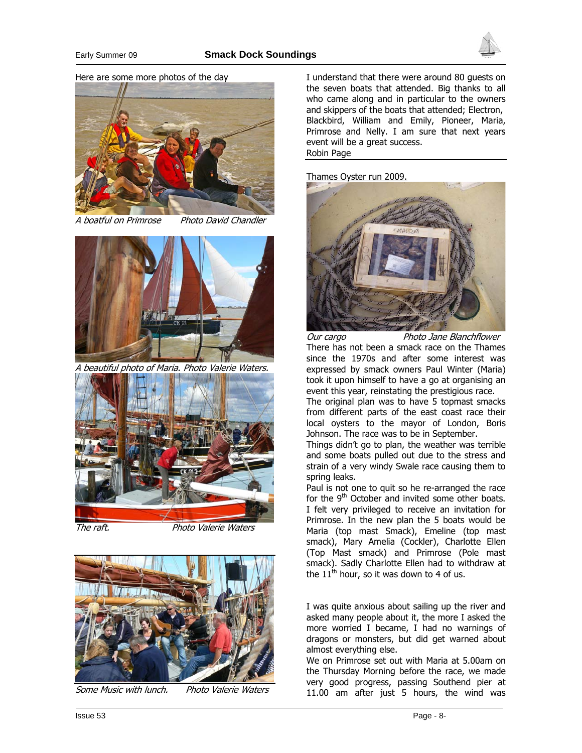

Here are some more photos of the day



A boatful on Primrose Photo David Chandler



A beautiful photo of Maria. Photo Valerie Waters.



The raft. The raft.



Some Music with lunch. Photo Valerie Waters

I understand that there were around 80 guests on the seven boats that attended. Big thanks to all who came along and in particular to the owners and skippers of the boats that attended; Electron, Blackbird, William and Emily, Pioneer, Maria, Primrose and Nelly. I am sure that next years event will be a great success. Robin Page

Thames Oyster run 2009.



Our cargo Photo Jane Blanchflower

There has not been a smack race on the Thames since the 1970s and after some interest was expressed by smack owners Paul Winter (Maria) took it upon himself to have a go at organising an event this year, reinstating the prestigious race.

The original plan was to have 5 topmast smacks from different parts of the east coast race their local oysters to the mayor of London, Boris Johnson. The race was to be in September.

Things didn't go to plan, the weather was terrible and some boats pulled out due to the stress and strain of a very windy Swale race causing them to spring leaks.

Paul is not one to quit so he re-arranged the race for the  $9<sup>th</sup>$  October and invited some other boats. I felt very privileged to receive an invitation for Primrose. In the new plan the 5 boats would be Maria (top mast Smack), Emeline (top mast smack), Mary Amelia (Cockler), Charlotte Ellen (Top Mast smack) and Primrose (Pole mast smack). Sadly Charlotte Ellen had to withdraw at the  $11<sup>th</sup>$  hour, so it was down to 4 of us.

I was quite anxious about sailing up the river and asked many people about it, the more I asked the more worried I became, I had no warnings of dragons or monsters, but did get warned about almost everything else.

We on Primrose set out with Maria at 5.00am on the Thursday Morning before the race, we made very good progress, passing Southend pier at 11.00 am after just 5 hours, the wind was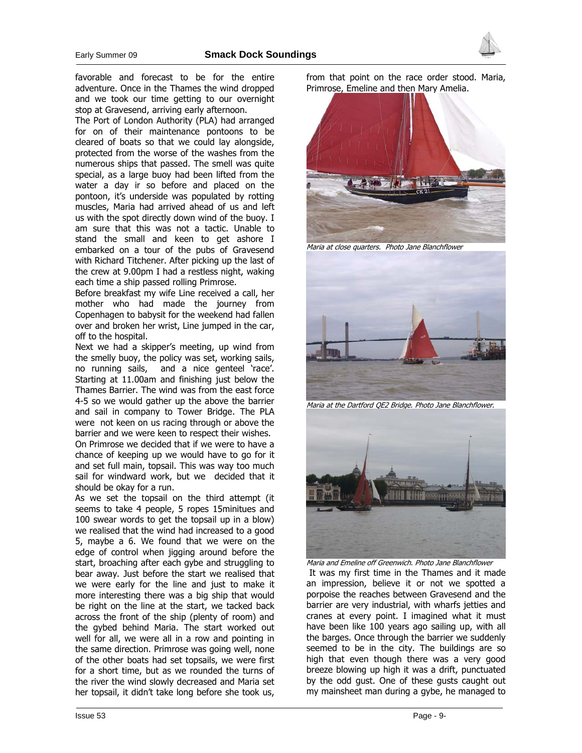

favorable and forecast to be for the entire adventure. Once in the Thames the wind dropped and we took our time getting to our overnight stop at Gravesend, arriving early afternoon.

The Port of London Authority (PLA) had arranged for on of their maintenance pontoons to be cleared of boats so that we could lay alongside, protected from the worse of the washes from the numerous ships that passed. The smell was quite special, as a large buoy had been lifted from the water a day ir so before and placed on the pontoon, it's underside was populated by rotting muscles, Maria had arrived ahead of us and left us with the spot directly down wind of the buoy. I am sure that this was not a tactic. Unable to stand the small and keen to get ashore I embarked on a tour of the pubs of Gravesend with Richard Titchener. After picking up the last of the crew at 9.00pm I had a restless night, waking each time a ship passed rolling Primrose.

Before breakfast my wife Line received a call, her mother who had made the journey from Copenhagen to babysit for the weekend had fallen over and broken her wrist, Line jumped in the car, off to the hospital.

Next we had a skipper's meeting, up wind from the smelly buoy, the policy was set, working sails, no running sails, and a nice genteel 'race'. Starting at 11.00am and finishing just below the Thames Barrier. The wind was from the east force 4-5 so we would gather up the above the barrier and sail in company to Tower Bridge. The PLA were not keen on us racing through or above the barrier and we were keen to respect their wishes.

On Primrose we decided that if we were to have a chance of keeping up we would have to go for it and set full main, topsail. This was way too much sail for windward work, but we decided that it should be okay for a run.

As we set the topsail on the third attempt (it seems to take 4 people, 5 ropes 15minitues and 100 swear words to get the topsail up in a blow) we realised that the wind had increased to a good 5, maybe a 6. We found that we were on the edge of control when jigging around before the start, broaching after each gybe and struggling to bear away. Just before the start we realised that we were early for the line and just to make it more interesting there was a big ship that would be right on the line at the start, we tacked back across the front of the ship (plenty of room) and the gybed behind Maria. The start worked out well for all, we were all in a row and pointing in the same direction. Primrose was going well, none of the other boats had set topsails, we were first for a short time, but as we rounded the turns of the river the wind slowly decreased and Maria set her topsail, it didn't take long before she took us,

from that point on the race order stood. Maria, Primrose, Emeline and then Mary Amelia.



Maria at close quarters. Photo Jane Blanchflower



Maria at the Dartford QE2 Bridge. Photo Jane Blanchflower.



Maria and Emeline off Greenwich. Photo Jane Blanchflower It was my first time in the Thames and it made an impression, believe it or not we spotted a porpoise the reaches between Gravesend and the barrier are very industrial, with wharfs jetties and cranes at every point. I imagined what it must have been like 100 years ago sailing up, with all the barges. Once through the barrier we suddenly seemed to be in the city. The buildings are so high that even though there was a very good breeze blowing up high it was a drift, punctuated by the odd gust. One of these gusts caught out my mainsheet man during a gybe, he managed to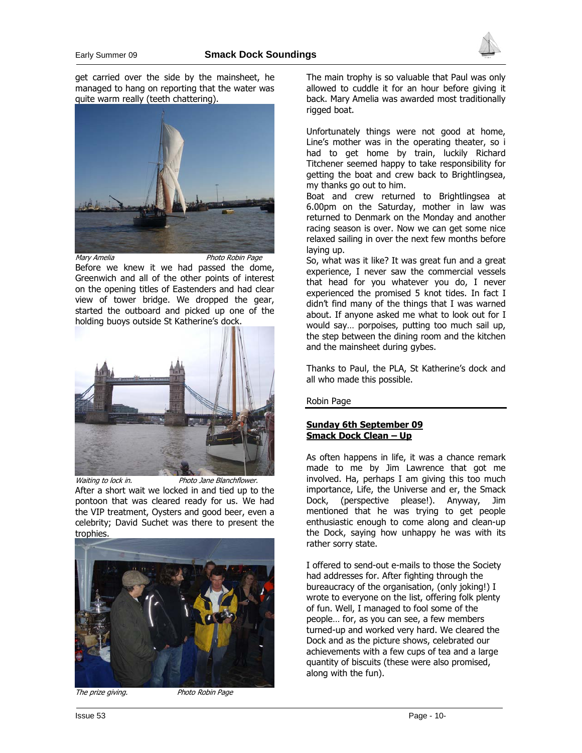

get carried over the side by the mainsheet, he managed to hang on reporting that the water was quite warm really (teeth chattering).



Mary Amelia **Photo Robin Page** 

Before we knew it we had passed the dome, Greenwich and all of the other points of interest on the opening titles of Eastenders and had clear view of tower bridge. We dropped the gear, started the outboard and picked up one of the holding buoys outside St Katherine's dock.



Waiting to lock in. Photo Jane Blanchflower.

After a short wait we locked in and tied up to the pontoon that was cleared ready for us. We had the VIP treatment, Oysters and good beer, even a celebrity; David Suchet was there to present the trophies.



The prize giving. The prize giving.

The main trophy is so valuable that Paul was only allowed to cuddle it for an hour before giving it back. Mary Amelia was awarded most traditionally rigged boat.

Unfortunately things were not good at home, Line's mother was in the operating theater, so i had to get home by train, luckily Richard Titchener seemed happy to take responsibility for getting the boat and crew back to Brightlingsea, my thanks go out to him.

Boat and crew returned to Brightlingsea at 6.00pm on the Saturday, mother in law was returned to Denmark on the Monday and another racing season is over. Now we can get some nice relaxed sailing in over the next few months before laying up.

So, what was it like? It was great fun and a great experience, I never saw the commercial vessels that head for you whatever you do, I never experienced the promised 5 knot tides. In fact I didn't find many of the things that I was warned about. If anyone asked me what to look out for I would say… porpoises, putting too much sail up, the step between the dining room and the kitchen and the mainsheet during gybes.

Thanks to Paul, the PLA, St Katherine's dock and all who made this possible.

Robin Page

## Sunday 6th September 09 Smack Dock Clean – Up

As often happens in life, it was a chance remark made to me by Jim Lawrence that got me involved. Ha, perhaps I am giving this too much importance, Life, the Universe and er, the Smack Dock, (perspective please!). Anyway, Jim mentioned that he was trying to get people enthusiastic enough to come along and clean-up the Dock, saying how unhappy he was with its rather sorry state.

I offered to send-out e-mails to those the Society had addresses for. After fighting through the bureaucracy of the organisation, (only joking!) I wrote to everyone on the list, offering folk plenty of fun. Well, I managed to fool some of the people… for, as you can see, a few members turned-up and worked very hard. We cleared the Dock and as the picture shows, celebrated our achievements with a few cups of tea and a large quantity of biscuits (these were also promised, along with the fun).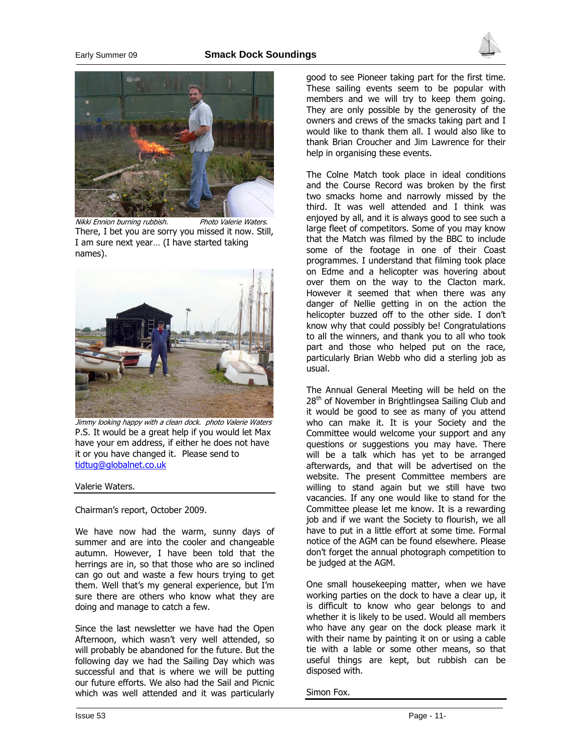



Nikki Ennion burning rubbish. Photo Valerie Waters. There, I bet you are sorry you missed it now. Still, I am sure next year… (I have started taking names).



Jimmy looking happy with a clean dock. photo Valerie Waters P.S. It would be a great help if you would let Max have your em address, if either he does not have it or you have changed it. Please send to tidtug@globalnet.co.uk

#### Valerie Waters.

Chairman's report, October 2009.

We have now had the warm, sunny days of summer and are into the cooler and changeable autumn. However, I have been told that the herrings are in, so that those who are so inclined can go out and waste a few hours trying to get them. Well that's my general experience, but I'm sure there are others who know what they are doing and manage to catch a few.

Since the last newsletter we have had the Open Afternoon, which wasn't very well attended, so will probably be abandoned for the future. But the following day we had the Sailing Day which was successful and that is where we will be putting our future efforts. We also had the Sail and Picnic which was well attended and it was particularly

good to see Pioneer taking part for the first time. These sailing events seem to be popular with members and we will try to keep them going. They are only possible by the generosity of the owners and crews of the smacks taking part and I would like to thank them all. I would also like to thank Brian Croucher and Jim Lawrence for their help in organising these events.

The Colne Match took place in ideal conditions and the Course Record was broken by the first two smacks home and narrowly missed by the third. It was well attended and I think was enjoyed by all, and it is always good to see such a large fleet of competitors. Some of you may know that the Match was filmed by the BBC to include some of the footage in one of their Coast programmes. I understand that filming took place on Edme and a helicopter was hovering about over them on the way to the Clacton mark. However it seemed that when there was any danger of Nellie getting in on the action the helicopter buzzed off to the other side. I don't know why that could possibly be! Congratulations to all the winners, and thank you to all who took part and those who helped put on the race, particularly Brian Webb who did a sterling job as usual.

The Annual General Meeting will be held on the 28<sup>th</sup> of November in Brightlingsea Sailing Club and it would be good to see as many of you attend who can make it. It is your Society and the Committee would welcome your support and any questions or suggestions you may have. There will be a talk which has yet to be arranged afterwards, and that will be advertised on the website. The present Committee members are willing to stand again but we still have two vacancies. If any one would like to stand for the Committee please let me know. It is a rewarding job and if we want the Society to flourish, we all have to put in a little effort at some time. Formal notice of the AGM can be found elsewhere. Please don't forget the annual photograph competition to be judged at the AGM.

One small housekeeping matter, when we have working parties on the dock to have a clear up, it is difficult to know who gear belongs to and whether it is likely to be used. Would all members who have any gear on the dock please mark it with their name by painting it on or using a cable tie with a lable or some other means, so that useful things are kept, but rubbish can be disposed with.

Simon Fox.